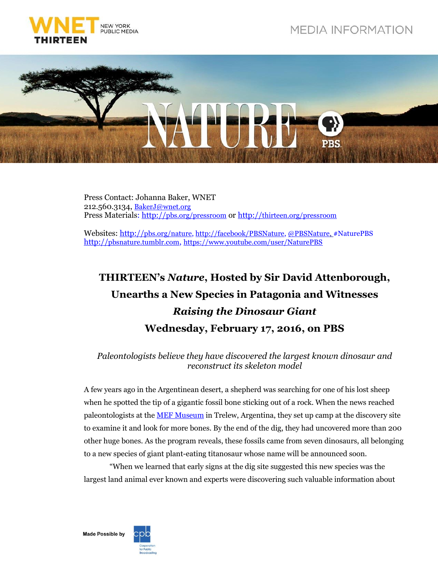



Press Contact: Johanna Baker, WNET 212.560.3134, [BakerJ@wnet.org](mailto:BakerJ@wnet.org) Press Materials: http://[pbs.org/pressroom](http://pressroom.pbs.org/) or http://[thirteen.org/pressroom](http://www.thirteen.org/pressroom)

Websites: http://[pbs.org/nature,](http://www.pbs.org/nature) http:/[/facebook/PBSNature,](http://www.facebook.com/PBSNature) [@PBSNature,](file://thirteen.org/departments/Communications/Commgrp/leed/Local%20Settings/Temporary%20Internet%20Files/leed/Local%20Settings/Documents%20and%20Settings/Murphy/Local%20Settings/Revealing%20the%20Leopard/Press%20Release/twitter.com/pbsnature) #NaturePBS http://[pbsnature.](http://pbsnature.tumblr.com/)tumblr.com, <https://www.youtube.com/user/NaturePBS>

## **THIRTEEN's** *Nature***, Hosted by Sir David Attenborough, Unearths a New Species in Patagonia and Witnesses** *Raising the Dinosaur Giant* **Wednesday, February 17, 2016, on PBS**

*Paleontologists believe they have discovered the largest known dinosaur and reconstruct its skeleton model*

A few years ago in the Argentinean desert, a shepherd was searching for one of his lost sheep when he spotted the tip of a gigantic fossil bone sticking out of a rock. When the news reached paleontologists at the [MEF Museum](http://www.mef.org.ar/en/) in Trelew, Argentina, they set up camp at the discovery site to examine it and look for more bones. By the end of the dig, they had uncovered more than 200 other huge bones. As the program reveals, these fossils came from seven dinosaurs, all belonging to a new species of giant plant-eating titanosaur whose name will be announced soon.

"When we learned that early signs at the dig site suggested this new species was the largest land animal ever known and experts were discovering such valuable information about



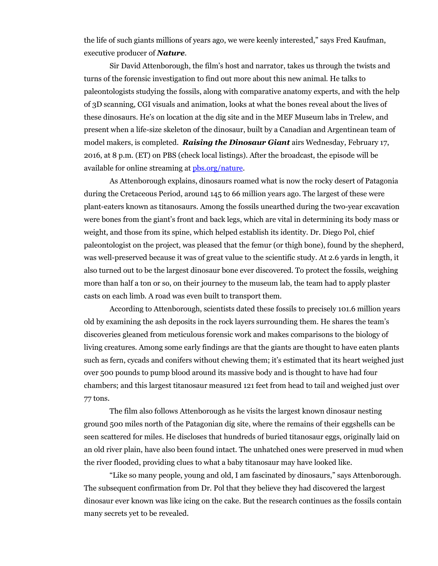the life of such giants millions of years ago, we were keenly interested," says Fred Kaufman, executive producer of *Nature*.

Sir David Attenborough, the film's host and narrator, takes us through the twists and turns of the forensic investigation to find out more about this new animal. He talks to paleontologists studying the fossils, along with comparative anatomy experts, and with the help of 3D scanning, CGI visuals and animation, looks at what the bones reveal about the lives of these dinosaurs. He's on location at the dig site and in the MEF Museum labs in Trelew, and present when a life-size skeleton of the dinosaur, built by a Canadian and Argentinean team of model makers, is completed. *Raising the Dinosaur Giant* airs Wednesday, February 17, 2016, at 8 p.m. (ET) on PBS (check local listings). After the broadcast, the episode will be available for online streaming at [pbs.org/nature.](http://www.pbs.org/wnet/nature/)

As Attenborough explains, dinosaurs roamed what is now the rocky desert of Patagonia during the Cretaceous Period, around 145 to 66 million years ago. The largest of these were plant-eaters known as titanosaurs. Among the fossils unearthed during the two-year excavation were bones from the giant's front and back legs, which are vital in determining its body mass or weight, and those from its spine, which helped establish its identity. Dr. Diego Pol, chief paleontologist on the project, was pleased that the femur (or thigh bone), found by the shepherd, was well-preserved because it was of great value to the scientific study. At 2.6 yards in length, it also turned out to be the largest dinosaur bone ever discovered. To protect the fossils, weighing more than half a ton or so, on their journey to the museum lab, the team had to apply plaster casts on each limb. A road was even built to transport them.

According to Attenborough, scientists dated these fossils to precisely 101.6 million years old by examining the ash deposits in the rock layers surrounding them. He shares the team's discoveries gleaned from meticulous forensic work and makes comparisons to the biology of living creatures. Among some early findings are that the giants are thought to have eaten plants such as fern, cycads and conifers without chewing them; it's estimated that its heart weighed just over 500 pounds to pump blood around its massive body and is thought to have had four chambers; and this largest titanosaur measured 121 feet from head to tail and weighed just over 77 tons.

The film also follows Attenborough as he visits the largest known dinosaur nesting ground 500 miles north of the Patagonian dig site, where the remains of their eggshells can be seen scattered for miles. He discloses that hundreds of buried titanosaur eggs, originally laid on an old river plain, have also been found intact. The unhatched ones were preserved in mud when the river flooded, providing clues to what a baby titanosaur may have looked like.

"Like so many people, young and old, I am fascinated by dinosaurs," says Attenborough. The subsequent confirmation from Dr. Pol that they believe they had discovered the largest dinosaur ever known was like icing on the cake. But the research continues as the fossils contain many secrets yet to be revealed.